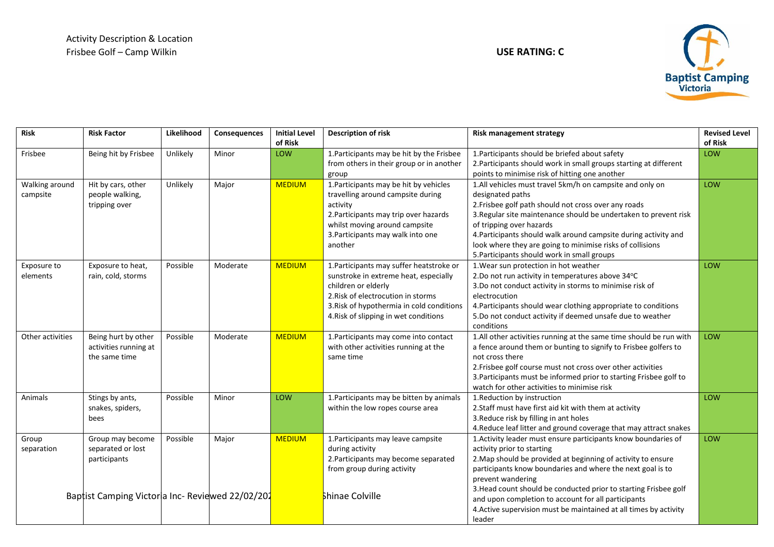

| <b>Risk</b>                | <b>Risk Factor</b>                                                                                        | Likelihood | Consequences | <b>Initial Level</b><br>of Risk | <b>Description of risk</b>                                                                                                                                                                                                           | <b>Risk management strategy</b>                                                                                                                                                                                                                                                                                                                                                                                                                           | <b>Revised Level</b><br>of Risk |
|----------------------------|-----------------------------------------------------------------------------------------------------------|------------|--------------|---------------------------------|--------------------------------------------------------------------------------------------------------------------------------------------------------------------------------------------------------------------------------------|-----------------------------------------------------------------------------------------------------------------------------------------------------------------------------------------------------------------------------------------------------------------------------------------------------------------------------------------------------------------------------------------------------------------------------------------------------------|---------------------------------|
| Frisbee                    | Being hit by Frisbee                                                                                      | Unlikely   | Minor        | LOW                             | 1. Participants may be hit by the Frisbee<br>from others in their group or in another<br>group                                                                                                                                       | 1. Participants should be briefed about safety<br>2. Participants should work in small groups starting at different<br>points to minimise risk of hitting one another                                                                                                                                                                                                                                                                                     | LOW                             |
| Walking around<br>campsite | Hit by cars, other<br>people walking,<br>tripping over                                                    | Unlikely   | Major        | <b>MEDIUM</b>                   | 1. Participants may be hit by vehicles<br>travelling around campsite during<br>activity<br>2. Participants may trip over hazards<br>whilst moving around campsite<br>3. Participants may walk into one<br>another                    | 1.All vehicles must travel 5km/h on campsite and only on<br>designated paths<br>2. Frisbee golf path should not cross over any roads<br>3. Regular site maintenance should be undertaken to prevent risk<br>of tripping over hazards<br>4. Participants should walk around campsite during activity and<br>look where they are going to minimise risks of collisions<br>5. Participants should work in small groups                                       | LOW                             |
| Exposure to<br>elements    | Exposure to heat,<br>rain, cold, storms                                                                   | Possible   | Moderate     | <b>MEDIUM</b>                   | 1. Participants may suffer heatstroke or<br>sunstroke in extreme heat, especially<br>children or elderly<br>2. Risk of electrocution in storms<br>3. Risk of hypothermia in cold conditions<br>4. Risk of slipping in wet conditions | 1. Wear sun protection in hot weather<br>2.Do not run activity in temperatures above 34°C<br>3.Do not conduct activity in storms to minimise risk of<br>electrocution<br>4. Participants should wear clothing appropriate to conditions<br>5.Do not conduct activity if deemed unsafe due to weather<br>conditions                                                                                                                                        | LOW                             |
| Other activities           | Being hurt by other<br>activities running at<br>the same time                                             | Possible   | Moderate     | <b>MEDIUM</b>                   | 1. Participants may come into contact<br>with other activities running at the<br>same time                                                                                                                                           | 1.All other activities running at the same time should be run with<br>a fence around them or bunting to signify to Frisbee golfers to<br>not cross there<br>2. Frisbee golf course must not cross over other activities<br>3. Participants must be informed prior to starting Frisbee golf to<br>watch for other activities to minimise risk                                                                                                              | LOW                             |
| Animals                    | Stings by ants,<br>snakes, spiders,<br>bees                                                               | Possible   | Minor        | LOW                             | 1. Participants may be bitten by animals<br>within the low ropes course area                                                                                                                                                         | 1.Reduction by instruction<br>2. Staff must have first aid kit with them at activity<br>3. Reduce risk by filling in ant holes<br>4. Reduce leaf litter and ground coverage that may attract snakes                                                                                                                                                                                                                                                       | LOW                             |
| Group<br>separation        | Group may become<br>separated or lost<br>participants<br>Baptist Camping Victoria Inc- Reviewed 22/02/202 | Possible   | Major        | <b>MEDIUM</b>                   | 1. Participants may leave campsite<br>during activity<br>2. Participants may become separated<br>from group during activity<br>Shinae Colville                                                                                       | 1. Activity leader must ensure participants know boundaries of<br>activity prior to starting<br>2. Map should be provided at beginning of activity to ensure<br>participants know boundaries and where the next goal is to<br>prevent wandering<br>3. Head count should be conducted prior to starting Frisbee golf<br>and upon completion to account for all participants<br>4. Active supervision must be maintained at all times by activity<br>leader | LOW                             |